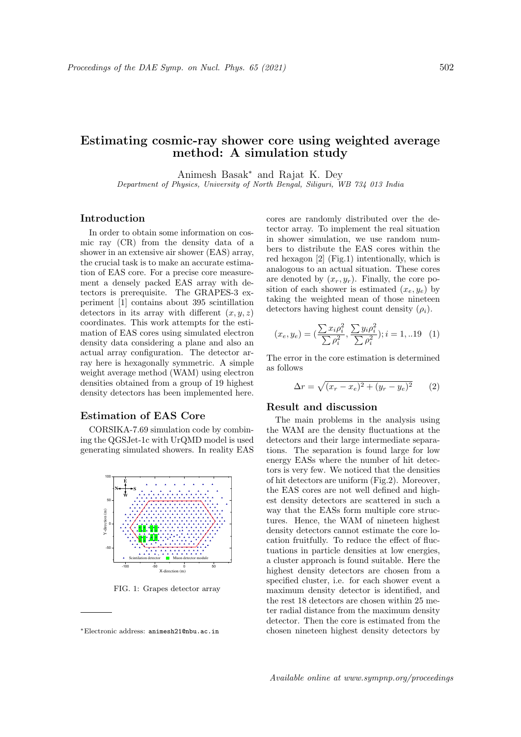# Estimating cosmic-ray shower core using weighted average method: A simulation study

Animesh Basak<sup>∗</sup> and Rajat K. Dey Department of Physics, University of North Bengal, Siliguri, WB 734 013 India

### Introduction

In order to obtain some information on cosmic ray (CR) from the density data of a shower in an extensive air shower (EAS) array, the crucial task is to make an accurate estimation of EAS core. For a precise core measurement a densely packed EAS array with detectors is prerequisite. The GRAPES-3 experiment [1] contains about 395 scintillation detectors in its array with different  $(x, y, z)$ coordinates. This work attempts for the estimation of EAS cores using simulated electron density data considering a plane and also an actual array configuration. The detector array here is hexagonally symmetric. A simple weight average method (WAM) using electron densities obtained from a group of 19 highest density detectors has been implemented here.

## Estimation of EAS Core

CORSIKA-7.69 simulation code by combining the QGSJet-1c with UrQMD model is used generating simulated showers. In reality EAS



FIG. 1: Grapes detector array

cores are randomly distributed over the detector array. To implement the real situation in shower simulation, we use random numbers to distribute the EAS cores within the red hexagon [2] (Fig.1) intentionally, which is analogous to an actual situation. These cores are denoted by  $(x_r, y_r)$ . Finally, the core position of each shower is estimated  $(x_e, y_e)$  by taking the weighted mean of those nineteen detectors having highest count density  $(\rho_i)$ .

$$
(x_e, y_e) = \left(\frac{\sum x_i \rho_i^2}{\sum \rho_i^2}, \frac{\sum y_i \rho_i^2}{\sum \rho_i^2}\right); i = 1,..19 \quad (1)
$$

The error in the core estimation is determined as follows

$$
\Delta r = \sqrt{(x_r - x_e)^2 + (y_r - y_e)^2} \qquad (2)
$$

#### Result and discussion

The main problems in the analysis using the WAM are the density fluctuations at the detectors and their large intermediate separations. The separation is found large for low energy EASs where the number of hit detectors is very few. We noticed that the densities of hit detectors are uniform (Fig.2). Moreover, the EAS cores are not well defined and highest density detectors are scattered in such a way that the EASs form multiple core structures. Hence, the WAM of nineteen highest density detectors cannot estimate the core location fruitfully. To reduce the effect of fluctuations in particle densities at low energies, a cluster approach is found suitable. Here the highest density detectors are chosen from a specified cluster, i.e. for each shower event a maximum density detector is identified, and the rest 18 detectors are chosen within 25 meter radial distance from the maximum density detector. Then the core is estimated from the chosen nineteen highest density detectors by

<sup>∗</sup>Electronic address: animesh21@nbu.ac.in